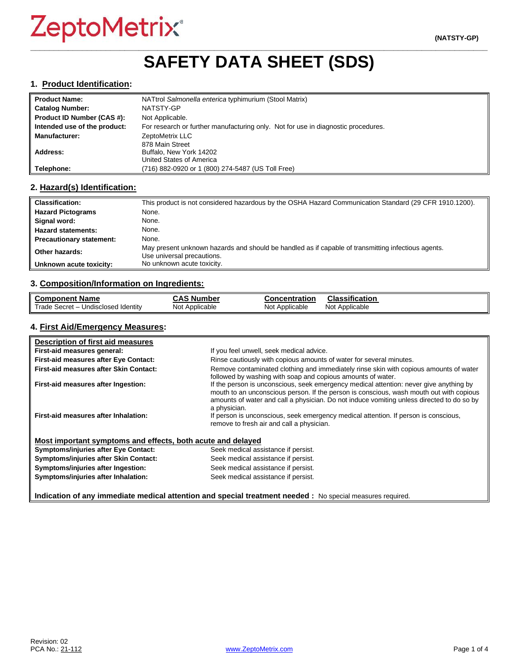## **\_\_\_\_\_\_\_\_\_\_\_\_\_\_\_\_\_\_\_\_\_\_\_\_\_\_\_\_\_\_\_\_\_\_\_\_\_\_\_\_\_\_\_\_\_\_\_\_\_\_\_\_\_\_\_\_\_\_\_\_\_\_\_\_\_\_\_\_\_\_\_\_\_\_\_\_\_\_\_\_\_\_\_\_\_\_\_\_\_\_\_\_\_\_\_\_\_ SAFETY DATA SHEET (SDS)**

#### **1. Product Identification:**

| <b>Product Name:</b>         | NATtrol Salmonella enterica typhimurium (Stool Matrix)                            |
|------------------------------|-----------------------------------------------------------------------------------|
| <b>Catalog Number:</b>       | NATSTY-GP                                                                         |
| Product ID Number (CAS #):   | Not Applicable.                                                                   |
| Intended use of the product: | For research or further manufacturing only. Not for use in diagnostic procedures. |
| <b>Manufacturer:</b>         | ZeptoMetrix LLC                                                                   |
|                              | 878 Main Street                                                                   |
| Address:                     | Buffalo, New York 14202                                                           |
|                              | United States of America                                                          |
| Telephone:                   | (716) 882-0920 or 1 (800) 274-5487 (US Toll Free)                                 |

#### **2. Hazard(s) Identification:**

| <b>Classification:</b>          | This product is not considered hazardous by the OSHA Hazard Communication Standard (29 CFR 1910.1200).                           |
|---------------------------------|----------------------------------------------------------------------------------------------------------------------------------|
| <b>Hazard Pictograms</b>        | None.                                                                                                                            |
| Signal word:                    | None.                                                                                                                            |
| <b>Hazard statements:</b>       | None.                                                                                                                            |
| <b>Precautionary statement:</b> | None.                                                                                                                            |
| Other hazards:                  | May present unknown hazards and should be handled as if capable of transmitting infectious agents.<br>Use universal precautions. |
| Unknown acute toxicity:         | No unknown acute toxicity.                                                                                                       |

#### **3. Composition/Information on Ingredients:**

| <b>Component Name</b>               | <b>CAS Number</b> | <b>Concentration</b> | <b>Classification</b> |
|-------------------------------------|-------------------|----------------------|-----------------------|
| Trade Secret - Undisclosed Identity | Not Applicable    | Not Applicable       | Not Applicable        |

### **4. First Aid/Emergency Measures:**

| Description of first aid measures                           |                                                                                                                                                                                                                                                                                                |
|-------------------------------------------------------------|------------------------------------------------------------------------------------------------------------------------------------------------------------------------------------------------------------------------------------------------------------------------------------------------|
| First-aid measures general:                                 | If you feel unwell, seek medical advice.                                                                                                                                                                                                                                                       |
| First-aid measures after Eye Contact:                       | Rinse cautiously with copious amounts of water for several minutes.                                                                                                                                                                                                                            |
| First-aid measures after Skin Contact:                      | Remove contaminated clothing and immediately rinse skin with copious amounts of water<br>followed by washing with soap and copious amounts of water.                                                                                                                                           |
| First-aid measures after Ingestion:                         | If the person is unconscious, seek emergency medical attention: never give anything by<br>mouth to an unconscious person. If the person is conscious, wash mouth out with copious<br>amounts of water and call a physician. Do not induce vomiting unless directed to do so by<br>a physician. |
| First-aid measures after Inhalation:                        | If person is unconscious, seek emergency medical attention. If person is conscious,<br>remove to fresh air and call a physician.                                                                                                                                                               |
| Most important symptoms and effects, both acute and delayed |                                                                                                                                                                                                                                                                                                |
| <b>Symptoms/injuries after Eye Contact:</b>                 | Seek medical assistance if persist.                                                                                                                                                                                                                                                            |
| Symptoms/injuries after Skin Contact:                       | Seek medical assistance if persist.                                                                                                                                                                                                                                                            |
| Symptoms/injuries after Ingestion:                          | Seek medical assistance if persist.                                                                                                                                                                                                                                                            |
| Symptoms/injuries after Inhalation:                         | Seek medical assistance if persist.                                                                                                                                                                                                                                                            |

**Indication of any immediate medical attention and special treatment needed :** No special measures required.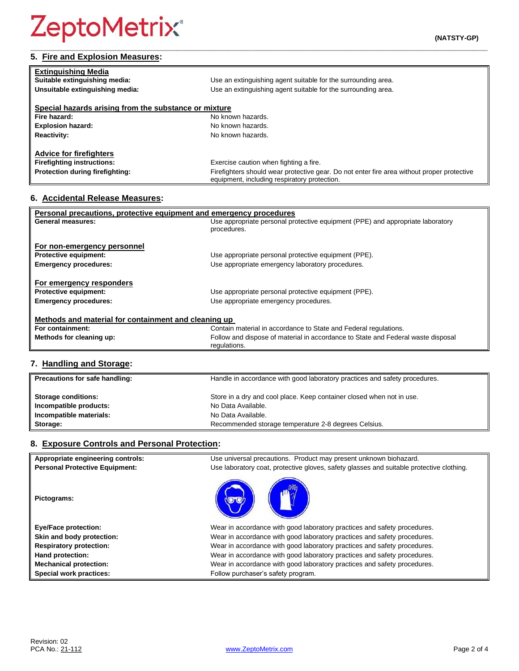## **5. Fire and Explosion Measures:**

| <b>Extinguishing Media</b>                            |                                                                                                                                            |
|-------------------------------------------------------|--------------------------------------------------------------------------------------------------------------------------------------------|
| Suitable extinguishing media:                         | Use an extinguishing agent suitable for the surrounding area.                                                                              |
| Unsuitable extinguishing media:                       | Use an extinguishing agent suitable for the surrounding area.                                                                              |
|                                                       |                                                                                                                                            |
| Special hazards arising from the substance or mixture |                                                                                                                                            |
| Fire hazard:                                          | No known hazards.                                                                                                                          |
| <b>Explosion hazard:</b>                              | No known hazards.                                                                                                                          |
| <b>Reactivity:</b>                                    | No known hazards.                                                                                                                          |
|                                                       |                                                                                                                                            |
| <b>Advice for firefighters</b>                        |                                                                                                                                            |
| <b>Firefighting instructions:</b>                     | Exercise caution when fighting a fire.                                                                                                     |
| Protection during firefighting:                       | Firefighters should wear protective gear. Do not enter fire area without proper protective<br>equipment, including respiratory protection. |

**\_\_\_\_\_\_\_\_\_\_\_\_\_\_\_\_\_\_\_\_\_\_\_\_\_\_\_\_\_\_\_\_\_\_\_\_\_\_\_\_\_\_\_\_\_\_\_\_\_\_\_\_\_\_\_\_\_\_\_\_\_\_\_\_\_\_\_\_\_\_\_\_\_\_\_\_\_\_\_\_\_\_\_\_\_\_\_\_\_\_\_\_\_\_\_\_\_**

## **6. Accidental Release Measures:**

| Personal precautions, protective equipment and emergency procedures |                                                                                  |  |
|---------------------------------------------------------------------|----------------------------------------------------------------------------------|--|
| General measures:                                                   | Use appropriate personal protective equipment (PPE) and appropriate laboratory   |  |
|                                                                     | procedures.                                                                      |  |
|                                                                     |                                                                                  |  |
| For non-emergency personnel                                         |                                                                                  |  |
| <b>Protective equipment:</b>                                        | Use appropriate personal protective equipment (PPE).                             |  |
| <b>Emergency procedures:</b>                                        | Use appropriate emergency laboratory procedures.                                 |  |
|                                                                     |                                                                                  |  |
| For emergency responders                                            |                                                                                  |  |
| <b>Protective equipment:</b>                                        | Use appropriate personal protective equipment (PPE).                             |  |
| <b>Emergency procedures:</b>                                        | Use appropriate emergency procedures.                                            |  |
|                                                                     |                                                                                  |  |
| Methods and material for containment and cleaning up                |                                                                                  |  |
| For containment:                                                    | Contain material in accordance to State and Federal regulations.                 |  |
| Methods for cleaning up:                                            | Follow and dispose of material in accordance to State and Federal waste disposal |  |
|                                                                     | regulations.                                                                     |  |
|                                                                     |                                                                                  |  |

## **7. Handling and Storage:**

| Precautions for safe handling: | Handle in accordance with good laboratory practices and safety procedures. |
|--------------------------------|----------------------------------------------------------------------------|
| <b>Storage conditions:</b>     | Store in a dry and cool place. Keep container closed when not in use.      |
| Incompatible products:         | No Data Available.                                                         |
| Incompatible materials:        | No Data Available.                                                         |
| Storage:                       | Recommended storage temperature 2-8 degrees Celsius.                       |

## **8. Exposure Controls and Personal Protection:**

| Appropriate engineering controls:     | Use universal precautions. Product may present unknown biohazard.                        |
|---------------------------------------|------------------------------------------------------------------------------------------|
| <b>Personal Protective Equipment:</b> | Use laboratory coat, protective gloves, safety glasses and suitable protective clothing. |
| Pictograms:                           |                                                                                          |
| <b>Eye/Face protection:</b>           | Wear in accordance with good laboratory practices and safety procedures.                 |
| Skin and body protection:             | Wear in accordance with good laboratory practices and safety procedures.                 |
| <b>Respiratory protection:</b>        | Wear in accordance with good laboratory practices and safety procedures.                 |
| Hand protection:                      | Wear in accordance with good laboratory practices and safety procedures.                 |
| <b>Mechanical protection:</b>         | Wear in accordance with good laboratory practices and safety procedures.                 |
| Special work practices:               | Follow purchaser's safety program.                                                       |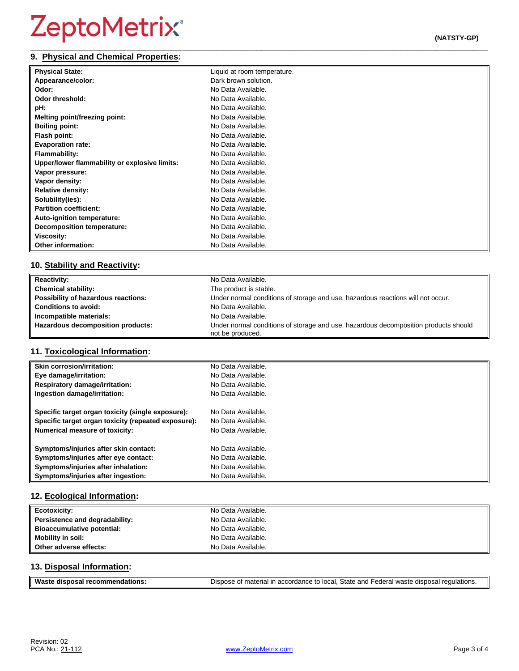#### **\_\_\_\_\_\_\_\_\_\_\_\_\_\_\_\_\_\_\_\_\_\_\_\_\_\_\_\_\_\_\_\_\_\_\_\_\_\_\_\_\_\_\_\_\_\_\_\_\_\_\_\_\_\_\_\_\_\_\_\_\_\_\_\_\_\_\_\_\_\_\_\_\_\_\_\_\_\_\_\_\_\_\_\_\_\_\_\_\_\_\_\_\_\_\_\_\_ 9. Physical and Chemical Properties:**

| <b>Physical State:</b>                        | Liquid at room temperature. |
|-----------------------------------------------|-----------------------------|
| Appearance/color:                             | Dark brown solution.        |
| Odor:                                         | No Data Available.          |
| <b>Odor threshold:</b>                        | No Data Available.          |
| pH:                                           | No Data Available.          |
| Melting point/freezing point:                 | No Data Available.          |
| <b>Boiling point:</b>                         | No Data Available.          |
| Flash point:                                  | No Data Available.          |
| <b>Evaporation rate:</b>                      | No Data Available.          |
| Flammability:                                 | No Data Available.          |
| Upper/lower flammability or explosive limits: | No Data Available.          |
| Vapor pressure:                               | No Data Available.          |
| Vapor density:                                | No Data Available.          |
| <b>Relative density:</b>                      | No Data Available.          |
| Solubility(ies):                              | No Data Available.          |
| <b>Partition coefficient:</b>                 | No Data Available.          |
| Auto-ignition temperature:                    | No Data Available.          |
| Decomposition temperature:                    | No Data Available.          |
| Viscosity:                                    | No Data Available.          |
| Other information:                            | No Data Available.          |

## **10. Stability and Reactivity:**

| <b>Reactivity:</b>                  | No Data Available.                                                                                      |
|-------------------------------------|---------------------------------------------------------------------------------------------------------|
| <b>Chemical stability:</b>          | The product is stable.                                                                                  |
| Possibility of hazardous reactions: | Under normal conditions of storage and use, hazardous reactions will not occur.                         |
| <b>Conditions to avoid:</b>         | No Data Available.                                                                                      |
| Incompatible materials:             | No Data Available.                                                                                      |
| Hazardous decomposition products:   | Under normal conditions of storage and use, hazardous decomposition products should<br>not be produced. |

## **11. Toxicological Information:**

| <b>Skin corrosion/irritation:</b>                   | No Data Available. |
|-----------------------------------------------------|--------------------|
| Eye damage/irritation:                              | No Data Available. |
| <b>Respiratory damage/irritation:</b>               | No Data Available. |
| Ingestion damage/irritation:                        | No Data Available. |
| Specific target organ toxicity (single exposure):   | No Data Available. |
| Specific target organ toxicity (repeated exposure): | No Data Available. |
| <b>Numerical measure of toxicity:</b>               | No Data Available. |
| Symptoms/injuries after skin contact:               | No Data Available. |
| Symptoms/injuries after eye contact:                | No Data Available. |
| Symptoms/injuries after inhalation:                 | No Data Available. |
| Symptoms/injuries after ingestion:                  | No Data Available. |

## **12. Ecological Information:**

| <b>Ecotoxicity:</b>               | No Data Available. |
|-----------------------------------|--------------------|
| Persistence and degradability:    | No Data Available. |
| <b>Bioaccumulative potential:</b> | No Data Available. |
| Mobility in soil:                 | No Data Available. |
| Other adverse effects:            | No Data Available. |

## **13. Disposal Information:**

| <b>Wast</b>                     |                                                                                                              |
|---------------------------------|--------------------------------------------------------------------------------------------------------------|
| dations.<br>aisposar :<br>recon | n accordance to local. State and Federal waste disposal r<br><sup>1</sup> regulations.<br>. of material in : |